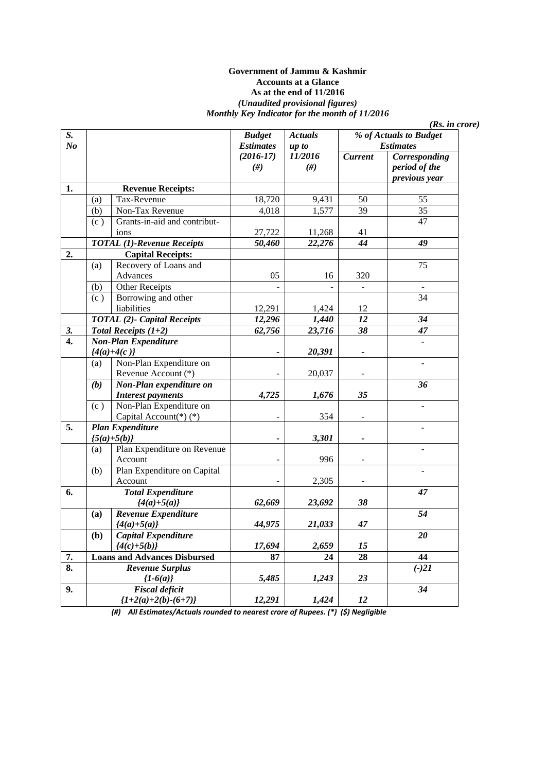#### **Government of Jammu & Kashmir Accounts at a Glance As at the end of 11/2016**  *(Unaudited provisional figures) Monthly Key Indicator for the month of 11/2016*

| S.                        |     |                                     | <b>Budget</b>         | <b>Actuals</b>    | % of Actuals to Budget |                                                 |
|---------------------------|-----|-------------------------------------|-----------------------|-------------------|------------------------|-------------------------------------------------|
| N <sub>o</sub>            |     |                                     | <b>Estimates</b>      | up to             |                        | <b>Estimates</b>                                |
|                           |     |                                     | $(2016-17)$<br>$(\#)$ | 11/2016<br>$(\#)$ | <b>Current</b>         | Corresponding<br>period of the<br>previous year |
| 1.                        |     | <b>Revenue Receipts:</b>            |                       |                   |                        |                                                 |
|                           | (a) | Tax-Revenue                         | 18,720                | 9,431             | 50                     | 55                                              |
|                           | (b) | Non-Tax Revenue                     | 4,018                 | 1,577             | $\overline{39}$        | $\overline{35}$                                 |
|                           | (c) | Grants-in-aid and contribut-        |                       |                   |                        | 47                                              |
|                           |     | ions                                | 27,722                | 11,268            | 41                     |                                                 |
|                           |     | <b>TOTAL (1)-Revenue Receipts</b>   | 50,460                | 22,276            | 44                     | 49                                              |
| $\overline{2}$ .          |     | <b>Capital Receipts:</b>            |                       |                   |                        |                                                 |
|                           | (a) | Recovery of Loans and               |                       |                   |                        | 75                                              |
|                           |     | Advances                            | 05                    | 16                | 320                    |                                                 |
|                           | (b) | Other Receipts                      |                       |                   |                        |                                                 |
|                           | (c) | Borrowing and other                 |                       |                   |                        | 34                                              |
|                           |     | liabilities                         | 12,291                | 1,424             | 12                     |                                                 |
|                           |     | <b>TOTAL (2)- Capital Receipts</b>  | 12,296                | 1,440             | $\overline{12}$        | 34                                              |
| 3.                        |     | Total Receipts $(1+2)$              | 62,756                | 23,716            | 38                     | 47                                              |
| $\overline{4}$ .          |     | Non-Plan Expenditure                |                       |                   |                        |                                                 |
|                           |     | ${4(a)+4(c)}$                       |                       | 20,391            |                        |                                                 |
|                           | (a) | Non-Plan Expenditure on             |                       |                   |                        |                                                 |
|                           |     | Revenue Account (*)                 |                       | 20,037            |                        |                                                 |
|                           | (b) | Non-Plan expenditure on             |                       |                   |                        | 36                                              |
|                           |     | <b>Interest payments</b>            | 4,725                 | 1,676             | 35                     |                                                 |
|                           | (c) | Non-Plan Expenditure on             |                       |                   |                        | $\overline{a}$                                  |
|                           |     | Capital Account(*)(*)               |                       | 354               |                        |                                                 |
| $\overline{5}$ .          |     | <b>Plan Expenditure</b>             |                       |                   |                        |                                                 |
|                           |     | ${5(a)+5(b)}$                       |                       | 3,301             |                        |                                                 |
|                           | (a) | Plan Expenditure on Revenue         |                       |                   |                        |                                                 |
|                           |     | Account                             |                       | 996               |                        |                                                 |
|                           | (b) | Plan Expenditure on Capital         |                       |                   |                        |                                                 |
|                           |     | Account                             |                       | 2,305             |                        |                                                 |
| 6.                        |     | <b>Total Expenditure</b>            |                       |                   |                        | 47                                              |
|                           |     | ${4(a)+5(a)}$                       | 62,669                | 23,692            | 38                     |                                                 |
|                           | (a) | Revenue Expenditure                 |                       |                   |                        | 54                                              |
|                           |     | ${4(a)+5(a)}$                       | 44,975                | 21,033            | 47                     |                                                 |
|                           | (b) | Capital Expenditure                 |                       |                   |                        | 20                                              |
|                           |     | ${4(c)+5(b)}$                       | 17,694                | 2,659             | 15                     |                                                 |
| $\overline{7}$ .          |     | <b>Loans and Advances Disbursed</b> | 87                    | 24                | 28                     | 44                                              |
| $\overline{\mathbf{8}}$ . |     | <b>Revenue Surplus</b>              |                       |                   |                        | $(-)21$                                         |
|                           |     | ${1-6(a)}$                          | 5,485                 | 1,243             | 23                     |                                                 |
| 9.                        |     | <b>Fiscal deficit</b>               |                       |                   |                        | 34                                              |
|                           |     | ${1+2(a)+2(b)-(6+7)}$               | 12,291                | 1,424             | 12                     |                                                 |

*(Rs. in crore)* 

*(#) All Estimates/Actuals rounded to nearest crore of Rupees. (\*) (\$) Negligible*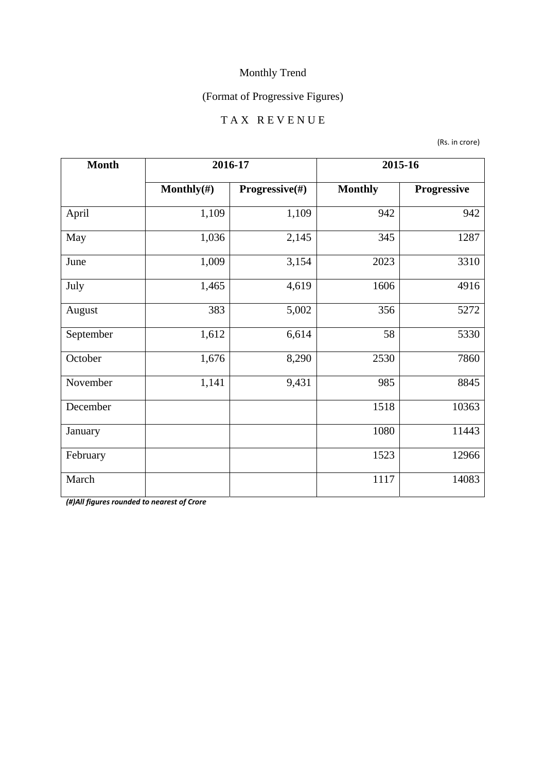## (Format of Progressive Figures)

#### T A X R E V E N U E

(Rs. in crore)

| <b>Month</b> | 2016-17        |                | 2015-16        |             |
|--------------|----------------|----------------|----------------|-------------|
|              | Monthly $(\#)$ | Progressive(#) | <b>Monthly</b> | Progressive |
| April        | 1,109          | 1,109          | 942            | 942         |
| May          | 1,036          | 2,145          | 345            | 1287        |
| June         | 1,009          | 3,154          | 2023           | 3310        |
| July         | 1,465          | 4,619          | 1606           | 4916        |
| August       | 383            | 5,002          | 356            | 5272        |
| September    | 1,612          | 6,614          | 58             | 5330        |
| October      | 1,676          | 8,290          | 2530           | 7860        |
| November     | 1,141          | 9,431          | 985            | 8845        |
| December     |                |                | 1518           | 10363       |
| January      |                |                | 1080           | 11443       |
| February     |                |                | 1523           | 12966       |
| March        |                |                | 1117           | 14083       |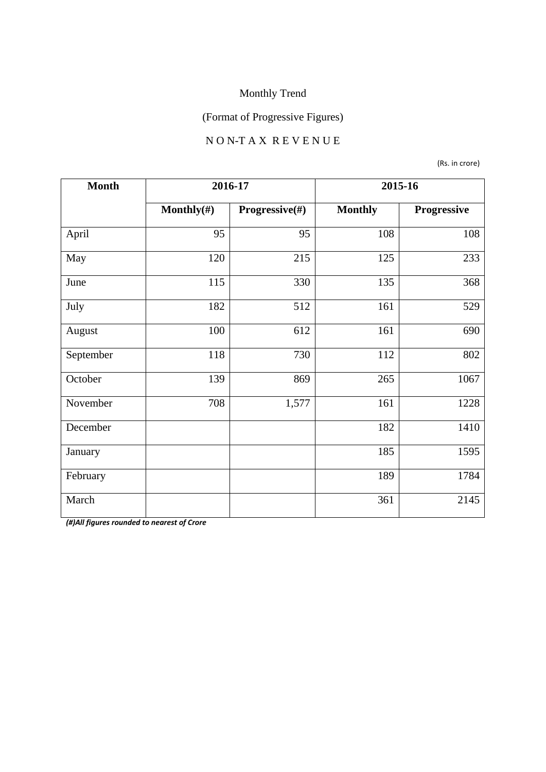## (Format of Progressive Figures)

#### N O N-T A X R E V E N U E

(Rs. in crore)

| <b>Month</b> | 2016-17        |                | 2015-16        |             |
|--------------|----------------|----------------|----------------|-------------|
|              | Monthly $(\#)$ | Progressive(#) | <b>Monthly</b> | Progressive |
| April        | 95             | 95             | 108            | 108         |
| May          | 120            | 215            | 125            | 233         |
| June         | 115            | 330            | 135            | 368         |
| July         | 182            | 512            | 161            | 529         |
| August       | 100            | 612            | 161            | 690         |
| September    | 118            | 730            | 112            | 802         |
| October      | 139            | 869            | 265            | 1067        |
| November     | 708            | 1,577          | 161            | 1228        |
| December     |                |                | 182            | 1410        |
| January      |                |                | 185            | 1595        |
| February     |                |                | 189            | 1784        |
| March        |                |                | 361            | 2145        |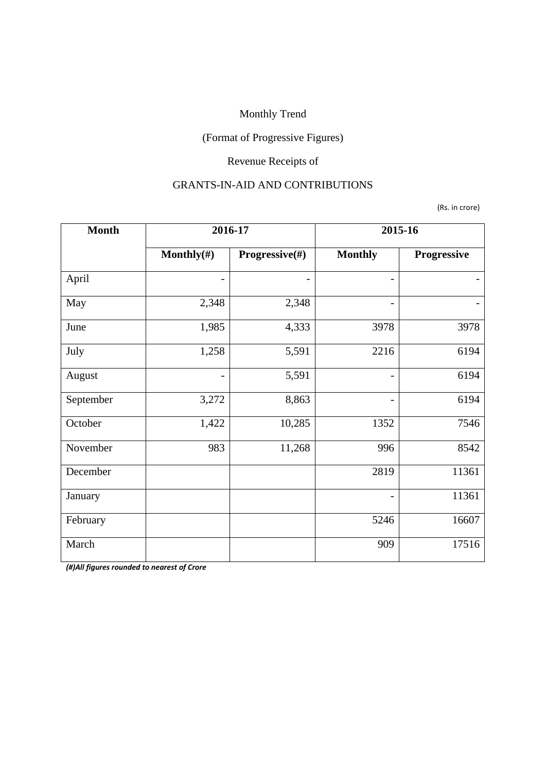## (Format of Progressive Figures)

## Revenue Receipts of

#### GRANTS-IN-AID AND CONTRIBUTIONS

(Rs. in crore)

| <b>Month</b> | 2016-17         |                | 2015-16                  |             |
|--------------|-----------------|----------------|--------------------------|-------------|
|              | Monthly $(\#)$  | Progressive(#) | <b>Monthly</b>           | Progressive |
| April        |                 |                |                          |             |
| May          | 2,348           | 2,348          | -                        |             |
| June         | 1,985           | 4,333          | 3978                     | 3978        |
| July         | 1,258           | 5,591          | 2216                     | 6194        |
| August       | $\qquad \qquad$ | 5,591          | $\overline{\phantom{a}}$ | 6194        |
| September    | 3,272           | 8,863          |                          | 6194        |
| October      | 1,422           | 10,285         | 1352                     | 7546        |
| November     | 983             | 11,268         | 996                      | 8542        |
| December     |                 |                | 2819                     | 11361       |
| January      |                 |                | $\overline{\phantom{0}}$ | 11361       |
| February     |                 |                | 5246                     | 16607       |
| March        |                 |                | 909                      | 17516       |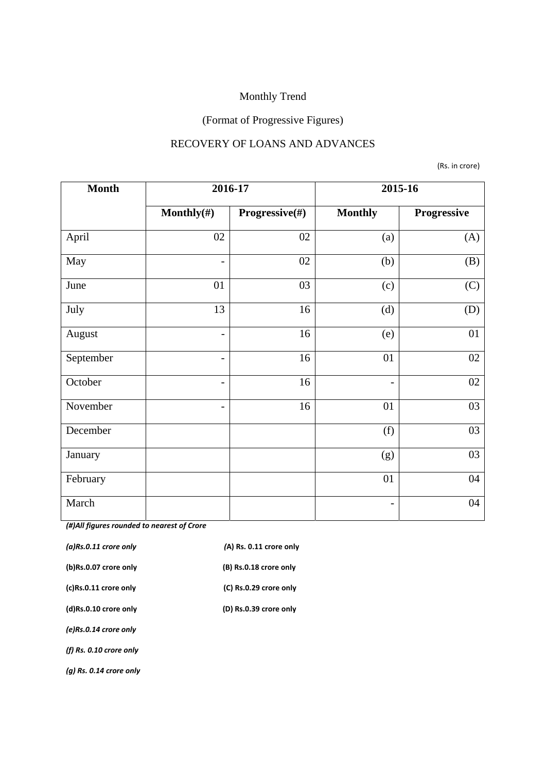# (Format of Progressive Figures)

#### RECOVERY OF LOANS AND ADVANCES

(Rs. in crore)

| <b>Month</b> |                          | 2016-17        |                          | 2015-16     |
|--------------|--------------------------|----------------|--------------------------|-------------|
|              | Monthly $(\#)$           | Progressive(#) | <b>Monthly</b>           | Progressive |
| April        | 02                       | 02             | (a)                      | (A)         |
| May          | $\overline{\phantom{a}}$ | 02             | (b)                      | (B)         |
| June         | 01                       | 03             | (c)                      | (C)         |
| July         | 13                       | 16             | (d)                      | (D)         |
| August       | $\overline{\phantom{a}}$ | 16             | (e)                      | 01          |
| September    | $\overline{\phantom{a}}$ | 16             | 01                       | 02          |
| October      | $\overline{\phantom{a}}$ | 16             | $\overline{\phantom{0}}$ | 02          |
| November     | $\overline{\phantom{a}}$ | 16             | 01                       | 03          |
| December     |                          |                | (f)                      | 03          |
| January      |                          |                | (g)                      | 03          |
| February     |                          |                | 01                       | 04          |
| March        |                          |                | -                        | 04          |

| $(a)$ Rs.0.11 crore only  | (A) Rs. 0.11 crore only |
|---------------------------|-------------------------|
| (b)Rs.0.07 crore only     | (B) Rs.0.18 crore only  |
| (c)Rs.0.11 crore only     | (C) Rs.0.29 crore only  |
| (d)Rs.0.10 crore only     | (D) Rs.0.39 crore only  |
| (e)Rs.0.14 crore only     |                         |
| (f) $Rs. 0.10$ crore only |                         |
| $(q)$ Rs. 0.14 crore only |                         |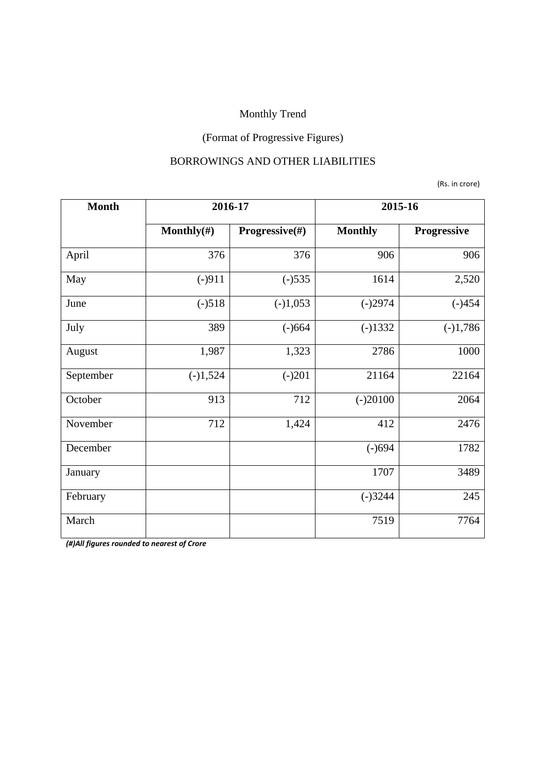## (Format of Progressive Figures)

#### BORROWINGS AND OTHER LIABILITIES

(Rs. in crore)

| <b>Month</b> | 2016-17        |                           | 2015-16        |             |
|--------------|----------------|---------------------------|----------------|-------------|
|              | Monthly $(\#)$ | <b>Progressive</b> $(\#)$ | <b>Monthly</b> | Progressive |
| April        | 376            | 376                       | 906            | 906         |
| May          | $(-)911$       | $(-)535$                  | 1614           | 2,520       |
| June         | $(-)518$       | $(-)1,053$                | $(-)2974$      | $(-)454$    |
| July         | 389            | $(-)664$                  | $(-)1332$      | $(-)1,786$  |
| August       | 1,987          | 1,323                     | 2786           | 1000        |
| September    | $(-)1,524$     | $(-)201$                  | 21164          | 22164       |
| October      | 913            | 712                       | $(-)20100$     | 2064        |
| November     | 712            | 1,424                     | 412            | 2476        |
| December     |                |                           | $(-)694$       | 1782        |
| January      |                |                           | 1707           | 3489        |
| February     |                |                           | $(-)3244$      | 245         |
| March        |                |                           | 7519           | 7764        |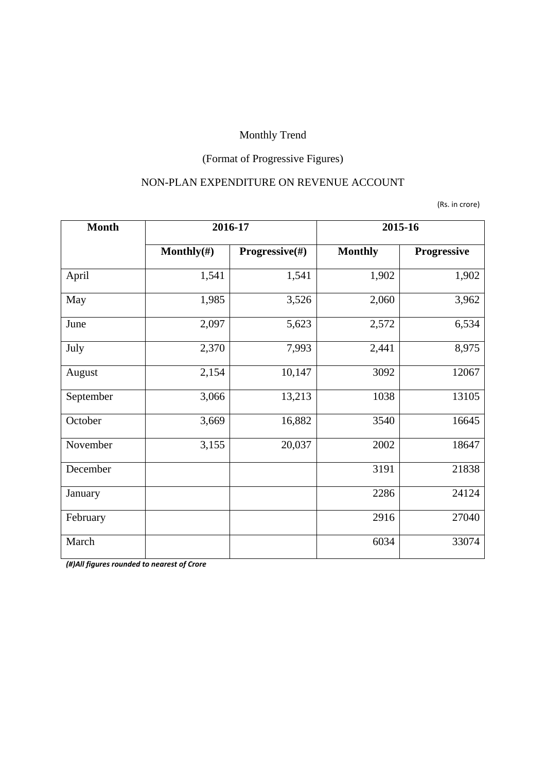## (Format of Progressive Figures)

#### NON-PLAN EXPENDITURE ON REVENUE ACCOUNT

(Rs. in crore)

| <b>Month</b> | 2016-17        |                | 2015-16        |             |
|--------------|----------------|----------------|----------------|-------------|
|              | Monthly $(\#)$ | Progressive(#) | <b>Monthly</b> | Progressive |
| April        | 1,541          | 1,541          | 1,902          | 1,902       |
| May          | 1,985          | 3,526          | 2,060          | 3,962       |
| June         | 2,097          | 5,623          | 2,572          | 6,534       |
| July         | 2,370          | 7,993          | 2,441          | 8,975       |
| August       | 2,154          | 10,147         | 3092           | 12067       |
| September    | 3,066          | 13,213         | 1038           | 13105       |
| October      | 3,669          | 16,882         | 3540           | 16645       |
| November     | 3,155          | 20,037         | 2002           | 18647       |
| December     |                |                | 3191           | 21838       |
| January      |                |                | 2286           | 24124       |
| February     |                |                | 2916           | 27040       |
| March        |                |                | 6034           | 33074       |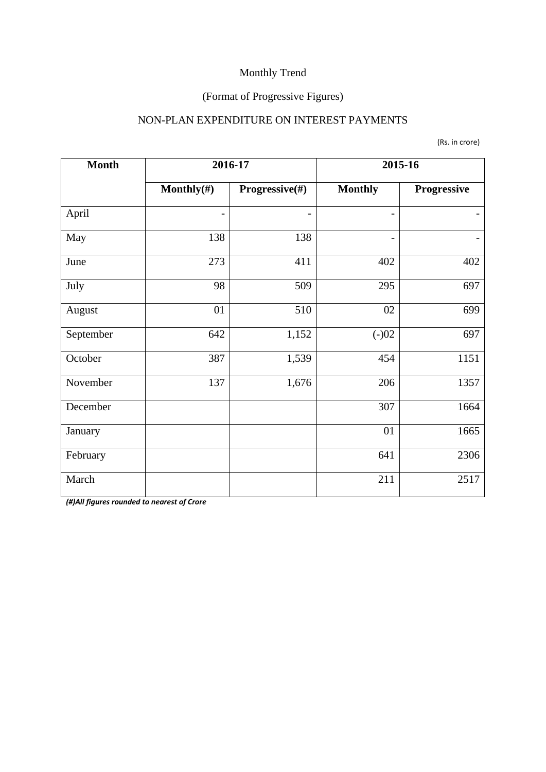## (Format of Progressive Figures)

#### NON-PLAN EXPENDITURE ON INTEREST PAYMENTS

(Rs. in crore)

| <b>Month</b> | 2016-17        |                | 2015-16                  |             |
|--------------|----------------|----------------|--------------------------|-------------|
|              | Monthly $(\#)$ | Progressive(#) | <b>Monthly</b>           | Progressive |
| April        |                |                | $\overline{\phantom{0}}$ |             |
| May          | 138            | 138            | $\overline{\phantom{0}}$ |             |
| June         | 273            | 411            | 402                      | 402         |
| July         | 98             | 509            | 295                      | 697         |
| August       | 01             | 510            | 02                       | 699         |
| September    | 642            | 1,152          | $(-)02$                  | 697         |
| October      | 387            | 1,539          | 454                      | 1151        |
| November     | 137            | 1,676          | 206                      | 1357        |
| December     |                |                | 307                      | 1664        |
| January      |                |                | 01                       | 1665        |
| February     |                |                | 641                      | 2306        |
| March        |                |                | 211                      | 2517        |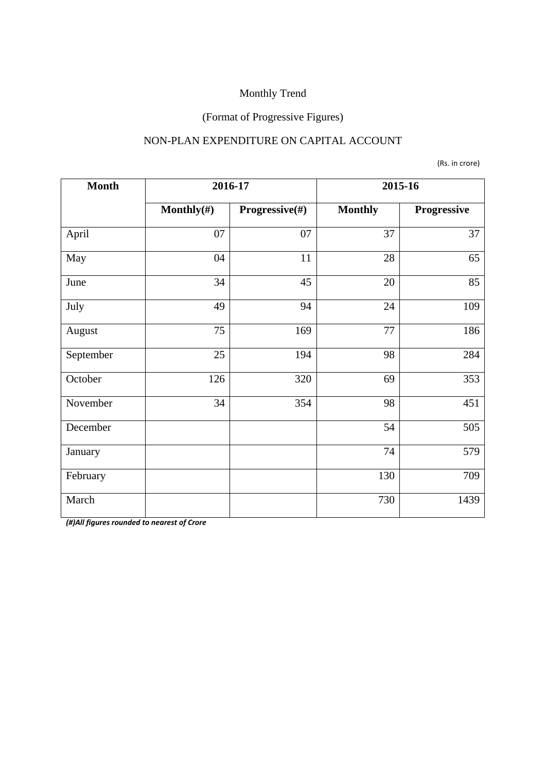#### (Format of Progressive Figures)

#### NON-PLAN EXPENDITURE ON CAPITAL ACCOUNT

(Rs. in crore)

| <b>Month</b> | 2016-17        |                | 2015-16        |             |
|--------------|----------------|----------------|----------------|-------------|
|              | Monthly $(\#)$ | Progressive(#) | <b>Monthly</b> | Progressive |
| April        | 07             | 07             | 37             | 37          |
| May          | 04             | 11             | 28             | 65          |
| June         | 34             | 45             | $20\,$         | 85          |
| July         | 49             | 94             | 24             | 109         |
| August       | 75             | 169            | 77             | 186         |
| September    | 25             | 194            | 98             | 284         |
| October      | 126            | 320            | 69             | 353         |
| November     | 34             | 354            | 98             | 451         |
| December     |                |                | 54             | 505         |
| January      |                |                | 74             | 579         |
| February     |                |                | 130            | 709         |
| March        |                |                | 730            | 1439        |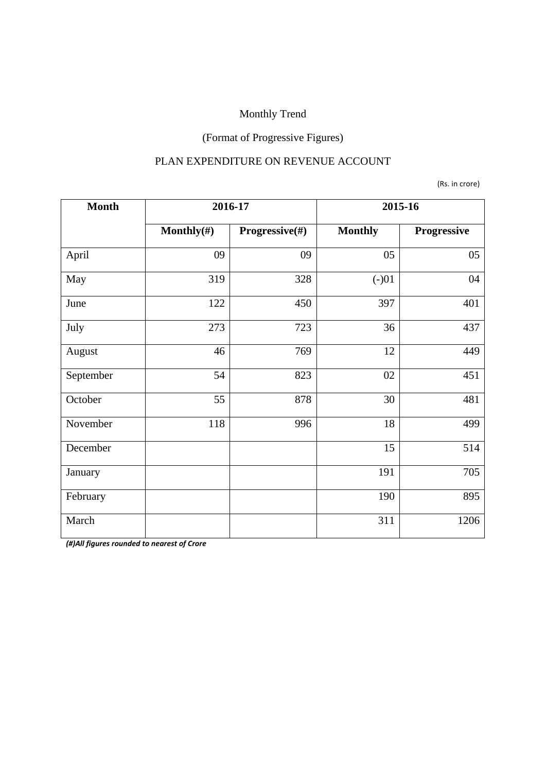## (Format of Progressive Figures)

#### PLAN EXPENDITURE ON REVENUE ACCOUNT

(Rs. in crore)

| <b>Month</b> | 2016-17        |                | 2015-16        |             |
|--------------|----------------|----------------|----------------|-------------|
|              | Monthly $(\#)$ | Progressive(#) | <b>Monthly</b> | Progressive |
| April        | 09             | 09             | 05             | 05          |
| May          | 319            | 328            | $(-)01$        | 04          |
| June         | 122            | 450            | 397            | 401         |
| July         | 273            | 723            | 36             | 437         |
| August       | 46             | 769            | 12             | 449         |
| September    | 54             | 823            | 02             | 451         |
| October      | 55             | 878            | 30             | 481         |
| November     | 118            | 996            | 18             | 499         |
| December     |                |                | 15             | 514         |
| January      |                |                | 191            | 705         |
| February     |                |                | 190            | 895         |
| March        |                |                | 311            | 1206        |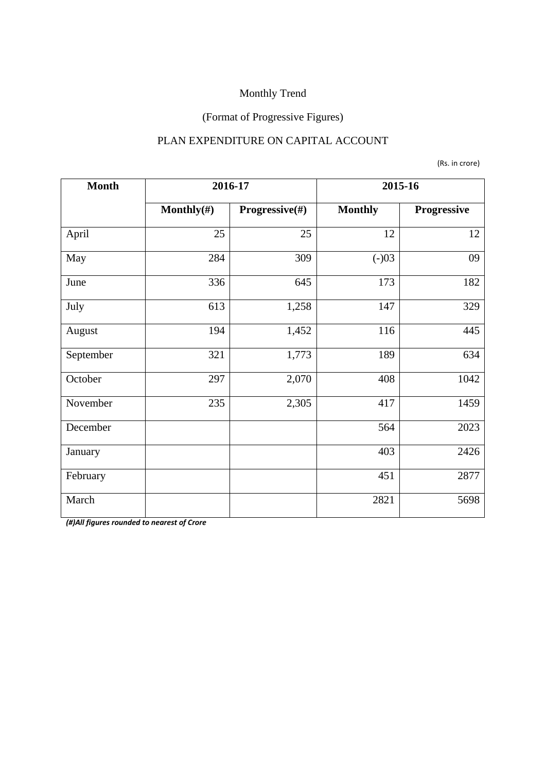## (Format of Progressive Figures)

#### PLAN EXPENDITURE ON CAPITAL ACCOUNT

(Rs. in crore)

| <b>Month</b> | 2016-17        |                | 2015-16        |             |
|--------------|----------------|----------------|----------------|-------------|
|              | Monthly $(\#)$ | Progressive(#) | <b>Monthly</b> | Progressive |
| April        | 25             | 25             | 12             | 12          |
| May          | 284            | 309            | $(-)03$        | 09          |
| June         | 336            | 645            | 173            | 182         |
| July         | 613            | 1,258          | 147            | 329         |
| August       | 194            | 1,452          | 116            | 445         |
| September    | 321            | 1,773          | 189            | 634         |
| October      | 297            | 2,070          | 408            | 1042        |
| November     | 235            | 2,305          | 417            | 1459        |
| December     |                |                | 564            | 2023        |
| January      |                |                | 403            | 2426        |
| February     |                |                | 451            | 2877        |
| March        |                |                | 2821           | 5698        |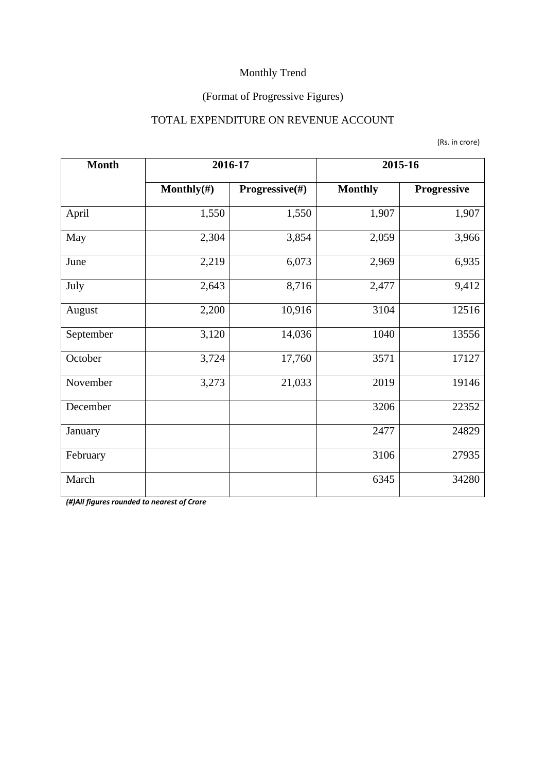## (Format of Progressive Figures)

#### TOTAL EXPENDITURE ON REVENUE ACCOUNT

| <b>Month</b> | 2016-17        |                | 2015-16        |             |  |
|--------------|----------------|----------------|----------------|-------------|--|
|              | Monthly $(\#)$ | Progressive(#) | <b>Monthly</b> | Progressive |  |
| April        | 1,550          | 1,550          | 1,907          | 1,907       |  |
| 2,304<br>May |                | 3,854          | 2,059          | 3,966       |  |
| June         | 2,219          | 6,073          | 2,969          | 6,935       |  |
| July         | 2,643          | 8,716          | 2,477          | 9,412       |  |
| August       | 2,200          | 10,916         | 3104           | 12516       |  |
| September    | 3,120          | 14,036         | 1040           | 13556       |  |
| October      | 3,724          | 17,760         | 3571           | 17127       |  |
| November     | 3,273          | 21,033         | 2019           | 19146       |  |
| December     |                |                | 3206           | 22352       |  |
| January      |                |                | 2477           | 24829       |  |
| February     |                |                | 3106           | 27935       |  |
| March        |                |                | 6345           | 34280       |  |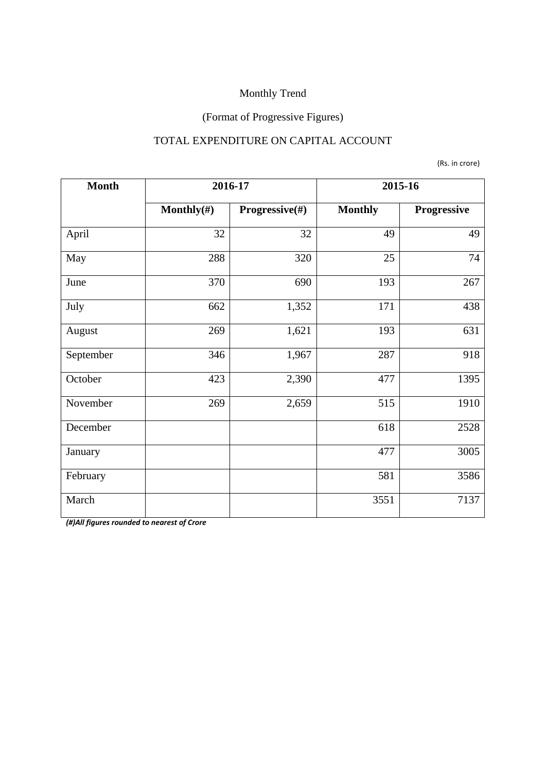## (Format of Progressive Figures)

#### TOTAL EXPENDITURE ON CAPITAL ACCOUNT

(Rs. in crore)

| <b>Month</b> | 2016-17        |                | 2015-16        |             |  |
|--------------|----------------|----------------|----------------|-------------|--|
|              | Monthly $(\#)$ | Progressive(#) | <b>Monthly</b> | Progressive |  |
| April        | 32             | 32             | 49             | 49          |  |
| 288<br>May   |                | 320            | 25             | 74          |  |
| June         | 370            | 690            | 193            | 267         |  |
| July         | 662            | 1,352          | 171            | 438         |  |
| August       | 269            | 1,621          | 193            | 631         |  |
| September    | 346            | 1,967          | 287            | 918         |  |
| October      | 423            | 2,390          | 477            | 1395        |  |
| November     | 269            | 2,659          | 515            | 1910        |  |
| December     |                |                | 618            | 2528        |  |
| January      |                |                | 477            | 3005        |  |
| February     |                |                | 581            | 3586        |  |
| March        |                |                | 3551           | 7137        |  |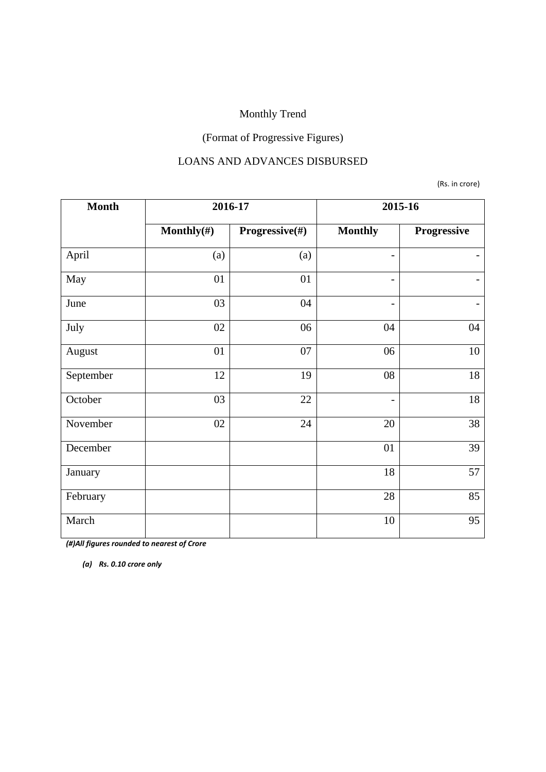## (Format of Progressive Figures)

#### LOANS AND ADVANCES DISBURSED

(Rs. in crore)

| <b>Month</b> | 2016-17        |                | 2015-16                  |             |  |
|--------------|----------------|----------------|--------------------------|-------------|--|
|              | Monthly $(\#)$ | Progressive(#) | <b>Monthly</b>           | Progressive |  |
| April        | (a)            | (a)            | $\overline{\phantom{0}}$ |             |  |
| May          | 01             | 01             | $\qquad \qquad -$        |             |  |
| June         | 03             | 04             | $\overline{\phantom{0}}$ |             |  |
| July         | 02             | 06             | 04                       | 04          |  |
| August       | 01             | 07             | 06                       | 10          |  |
| September    | 12             | 19             | 08                       | 18          |  |
| October      | 03             | 22             | $\overline{\phantom{0}}$ | 18          |  |
| November     | 02             | 24             | 20                       | 38          |  |
| December     |                |                | 01                       | 39          |  |
| January      |                |                | 18                       | 57          |  |
| February     |                |                | 28                       | 85          |  |
| March        |                |                | 10                       | 95          |  |

*(#)All figures rounded to nearest of Crore* 

*(a) Rs. 0.10 crore only*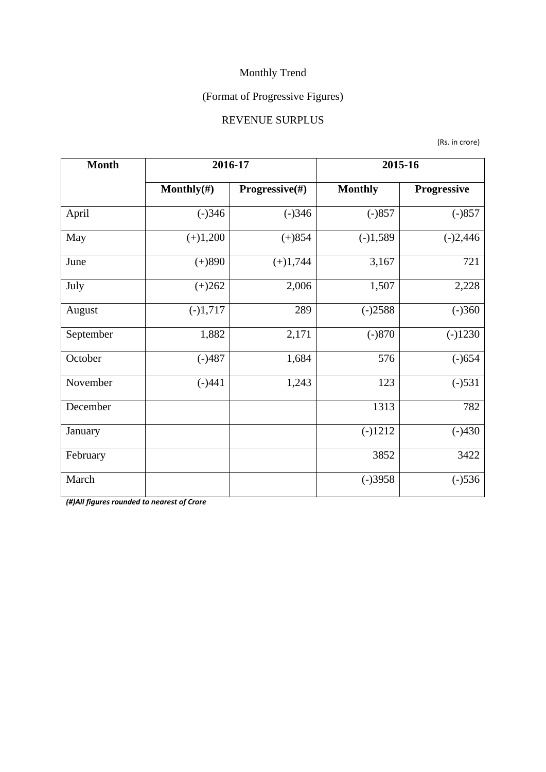## (Format of Progressive Figures)

#### REVENUE SURPLUS

(Rs. in crore)

| <b>Month</b> | 2016-17        |                | 2015-16        |             |  |
|--------------|----------------|----------------|----------------|-------------|--|
|              | Monthly $(\#)$ | Progressive(#) | <b>Monthly</b> | Progressive |  |
| April        | $(-)346$       | $(-)346$       | $(-)857$       | $(-)857$    |  |
| May          | $(+)1,200$     |                | $(-)1,589$     | $(-)2,446$  |  |
| June         | $(+)890$       |                | 3,167          | 721         |  |
| July         | $(+)262$       |                | 1,507          | 2,228       |  |
| August       | $(-)1,717$     | 289            | $(-)2588$      | $(-)360$    |  |
| September    | 1,882          | 2,171          | $(-)870$       | $(-)1230$   |  |
| October      | $(-)487$       | 1,684          | 576            | $(-)654$    |  |
| November     | $(-)441$       | 1,243          | 123            | $(-)531$    |  |
| December     |                |                | 1313           | 782         |  |
| January      |                |                | $(-)1212$      | $(-)430$    |  |
| February     |                |                | 3852           | 3422        |  |
| March        |                |                | $(-)3958$      | $(-)536$    |  |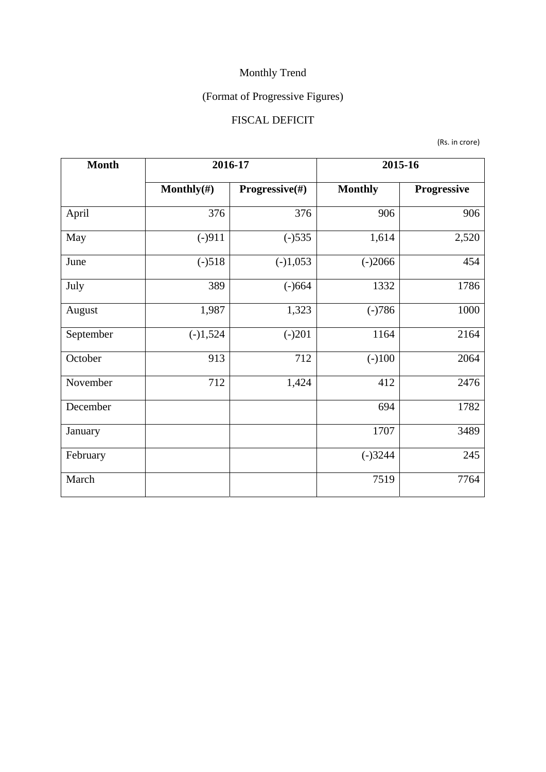## (Format of Progressive Figures)

## FISCAL DEFICIT

(Rs. in crore)

| <b>Month</b> | 2016-17        |                | 2015-16        |             |  |
|--------------|----------------|----------------|----------------|-------------|--|
|              | Monthly $(\#)$ | Progressive(#) | <b>Monthly</b> | Progressive |  |
| April        | 376            | 376            | 906            | 906         |  |
| May          | $(-)911$       |                | 1,614          | 2,520       |  |
| June         | $(-)518$       |                | $(-)2066$      | 454         |  |
| July         | 389            |                | 1332           | 1786        |  |
| August       | 1,987          |                | $(-)786$       | 1000        |  |
| September    | $(-)1,524$     | $(-)201$       | 1164           | 2164        |  |
| October      | 913            | 712            | $(-100)$       | 2064        |  |
| November     | 712            | 1,424          | 412            | 2476        |  |
| December     |                |                | 694            | 1782        |  |
| January      |                |                | 1707           | 3489        |  |
| February     |                |                | $(-)3244$      | 245         |  |
| March        |                |                | 7519           | 7764        |  |